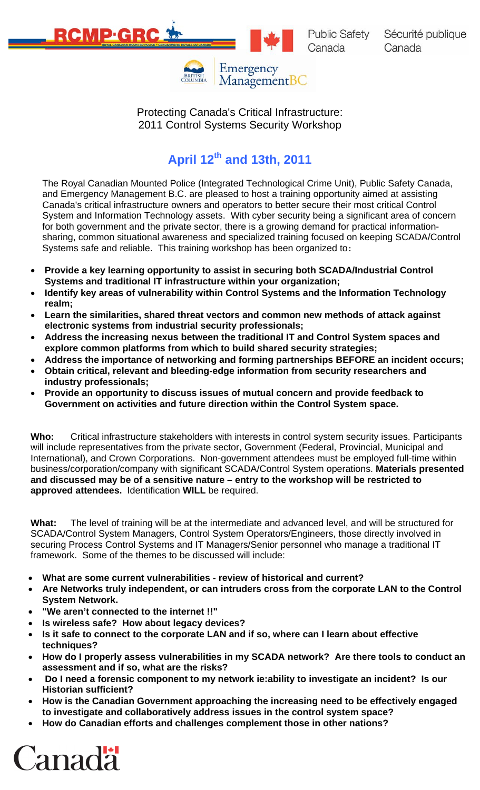



Protecting Canada's Critical Infrastructure: 2011 Control Systems Security Workshop

ManagementBC

# **April 12th and 13th, 2011**

The Royal Canadian Mounted Police (Integrated Technological Crime Unit), Public Safety Canada, and Emergency Management B.C. are pleased to host a training opportunity aimed at assisting Canada's critical infrastructure owners and operators to better secure their most critical Control System and Information Technology assets. With cyber security being a significant area of concern for both government and the private sector, there is a growing demand for practical informationsharing, common situational awareness and specialized training focused on keeping SCADA/Control Systems safe and reliable. This training workshop has been organized to:

- **Provide a key learning opportunity to assist in securing both SCADA/Industrial Control Systems and traditional IT infrastructure within your organization;**
- **Identify key areas of vulnerability within Control Systems and the Information Technology realm;**
- **Learn the similarities, shared threat vectors and common new methods of attack against electronic systems from industrial security professionals;**
- **Address the increasing nexus between the traditional IT and Control System spaces and explore common platforms from which to build shared security strategies;**
- **Address the importance of networking and forming partnerships BEFORE an incident occurs;**
- **Obtain critical, relevant and bleeding-edge information from security researchers and industry professionals;**
- **Provide an opportunity to discuss issues of mutual concern and provide feedback to Government on activities and future direction within the Control System space.**

**Who:** Critical infrastructure stakeholders with interests in control system security issues. Participants will include representatives from the private sector, Government (Federal, Provincial, Municipal and International), and Crown Corporations. Non-government attendees must be employed full-time within business/corporation/company with significant SCADA/Control System operations. **Materials presented and discussed may be of a sensitive nature – entry to the workshop will be restricted to approved attendees.** Identification **WILL** be required.

**What:** The level of training will be at the intermediate and advanced level, and will be structured for SCADA/Control System Managers, Control System Operators/Engineers, those directly involved in securing Process Control Systems and IT Managers/Senior personnel who manage a traditional IT framework. Some of the themes to be discussed will include:

- **What are some current vulnerabilities review of historical and current?**
- **Are Networks truly independent, or can intruders cross from the corporate LAN to the Control System Network.**
- **"We aren't connected to the internet !!"**
- **Is wireless safe? How about legacy devices?**
- **Is it safe to connect to the corporate LAN and if so, where can I learn about effective techniques?**
- **How do I properly assess vulnerabilities in my SCADA network? Are there tools to conduct an assessment and if so, what are the risks?**
- • **Do I need a forensic component to my network ie:ability to investigate an incident? Is our Historian sufficient?**
- **How is the Canadian Government approaching the increasing need to be effectively engaged to investigate and collaboratively address issues in the control system space?**
- **How do Canadian efforts and challenges complement those in other nations?**